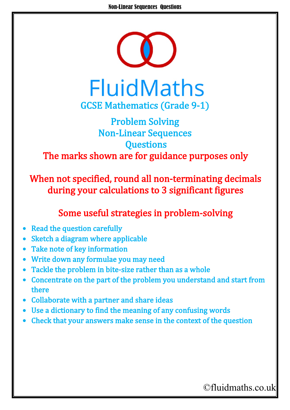

## Problem Solving Non-Linear Sequences **Questions** The marks shown are for guidance purposes only

When not specified, round all non-terminating decimals during your calculations to 3 significant figures

## Some useful strategies in problem-solving

- **Read the question carefully**
- Sketch a diagram where applicable
- Take note of key information
- Write down any formulae you may need
- Tackle the problem in bite-size rather than as a whole
- Concentrate on the part of the problem you understand and start from there
- Collaborate with a partner and share ideas
- Use a dictionary to find the meaning of any confusing words
- Check that your answers make sense in the context of the question

## ©fluidmaths.co.uk